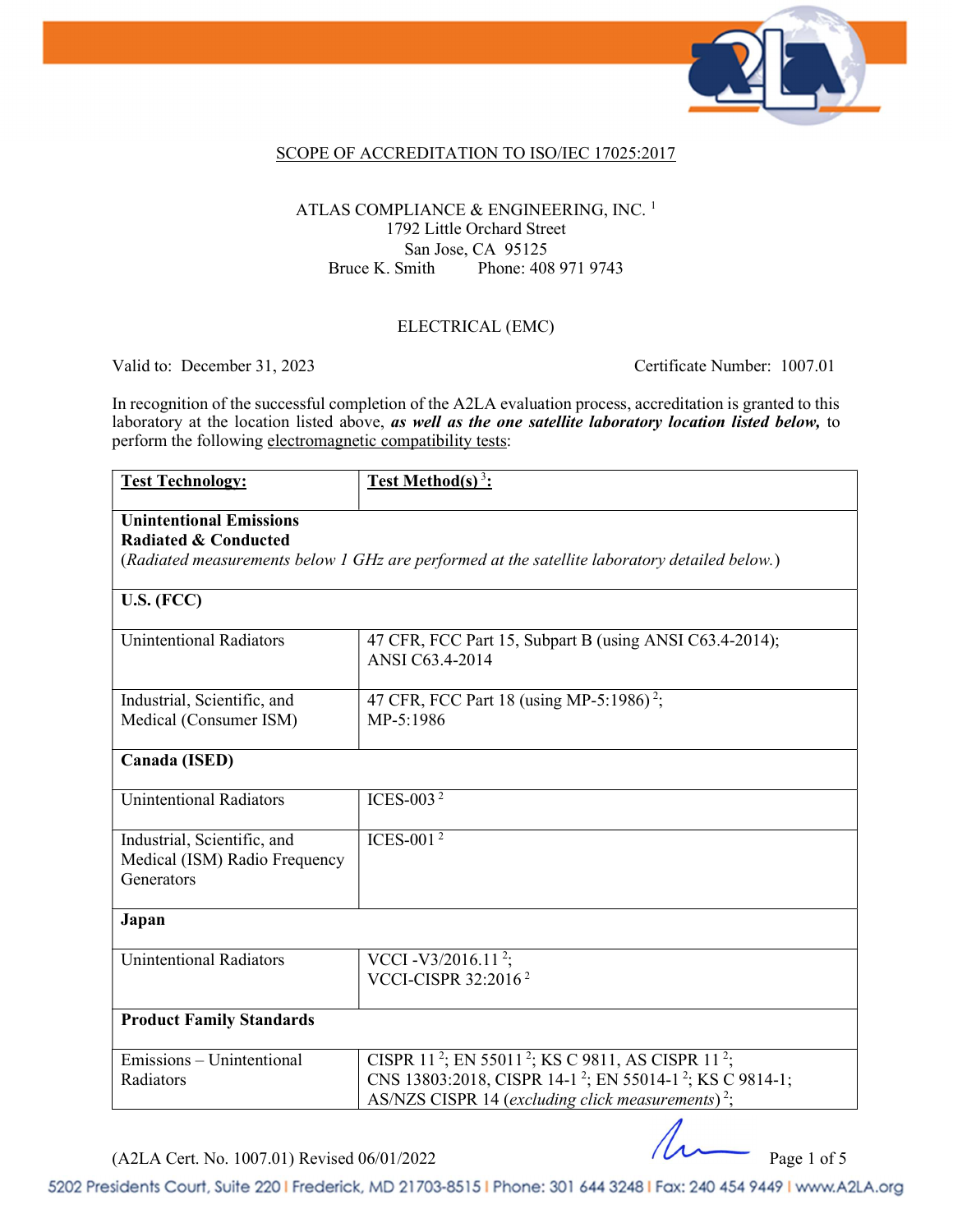

### SCOPE OF ACCREDITATION TO ISO/IEC 17025:2017

#### ATLAS COMPLIANCE & ENGINEERING, INC.<sup>1</sup> 1792 Little Orchard Street San Jose, CA 95125 Bruce K. Smith Phone: 408 971 9743

#### ELECTRICAL (EMC)

Valid to: December 31, 2023 Certificate Number: 1007.01

In recognition of the successful completion of the A2LA evaluation process, accreditation is granted to this laboratory at the location listed above, as well as the one satellite laboratory location listed below, to perform the following electromagnetic compatibility tests:

| <b>Test Technology:</b>                                                                                                                                            | Test Method(s) $3$ :                                                                                                                                                                                                                       |  |  |  |
|--------------------------------------------------------------------------------------------------------------------------------------------------------------------|--------------------------------------------------------------------------------------------------------------------------------------------------------------------------------------------------------------------------------------------|--|--|--|
| <b>Unintentional Emissions</b><br><b>Radiated &amp; Conducted</b><br>(Radiated measurements below 1 GHz are performed at the satellite laboratory detailed below.) |                                                                                                                                                                                                                                            |  |  |  |
| U.S. (FCC)                                                                                                                                                         |                                                                                                                                                                                                                                            |  |  |  |
| <b>Unintentional Radiators</b>                                                                                                                                     | 47 CFR, FCC Part 15, Subpart B (using ANSI C63.4-2014);<br>ANSI C63.4-2014                                                                                                                                                                 |  |  |  |
| Industrial, Scientific, and<br>Medical (Consumer ISM)                                                                                                              | 47 CFR, FCC Part 18 (using MP-5:1986) <sup>2</sup> ;<br>MP-5:1986                                                                                                                                                                          |  |  |  |
| Canada (ISED)                                                                                                                                                      |                                                                                                                                                                                                                                            |  |  |  |
| <b>Unintentional Radiators</b>                                                                                                                                     | ICES-003 $2$                                                                                                                                                                                                                               |  |  |  |
| Industrial, Scientific, and<br>Medical (ISM) Radio Frequency<br>Generators                                                                                         | ICES-001 $2$                                                                                                                                                                                                                               |  |  |  |
| Japan                                                                                                                                                              |                                                                                                                                                                                                                                            |  |  |  |
| <b>Unintentional Radiators</b>                                                                                                                                     | VCCI - V3/2016.11 <sup>2</sup> ;<br>VCCI-CISPR 32:2016 <sup>2</sup>                                                                                                                                                                        |  |  |  |
| <b>Product Family Standards</b>                                                                                                                                    |                                                                                                                                                                                                                                            |  |  |  |
| Emissions - Unintentional<br>Radiators                                                                                                                             | CISPR 11 <sup>2</sup> ; EN 55011 <sup>2</sup> ; KS C 9811, AS CISPR 11 <sup>2</sup> ;<br>CNS 13803:2018, CISPR 14-1 <sup>2</sup> ; EN 55014-1 <sup>2</sup> ; KS C 9814-1;<br>AS/NZS CISPR 14 (excluding click measurements) <sup>2</sup> ; |  |  |  |

 $(A2LA$  Cert. No. 1007.01) Revised  $06/01/2022$  Page 1 of 5

5202 Presidents Court, Suite 220 | Frederick, MD 21703-8515 | Phone: 301 644 3248 | Fax: 240 454 9449 | www.A2LA.org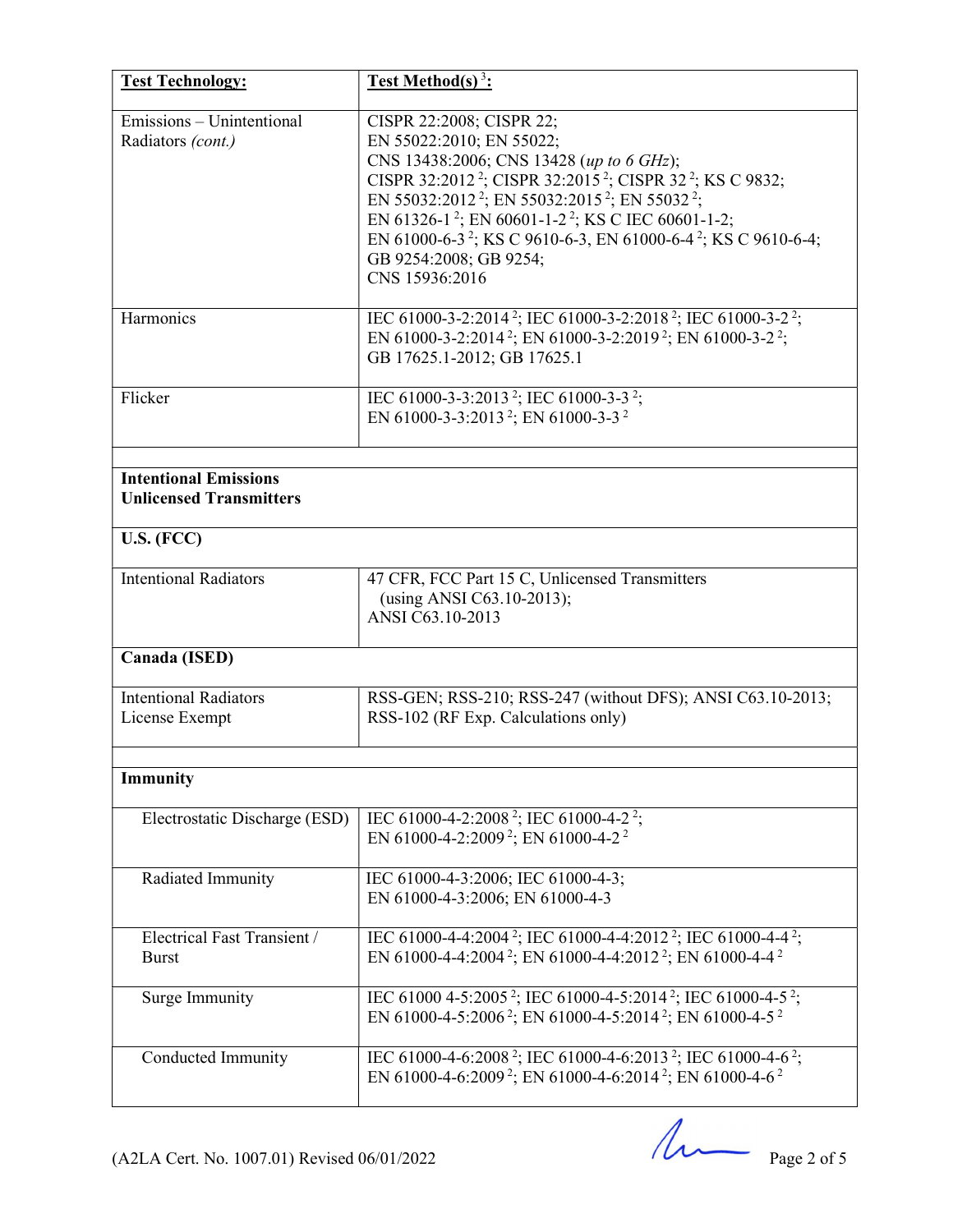| <b>Test Technology:</b>                                        | <b>Test Method(s)</b> <sup>3</sup> :                                                                                                                                                                                                                                                                                                                                                                                                                                                                    |  |  |
|----------------------------------------------------------------|---------------------------------------------------------------------------------------------------------------------------------------------------------------------------------------------------------------------------------------------------------------------------------------------------------------------------------------------------------------------------------------------------------------------------------------------------------------------------------------------------------|--|--|
| Emissions – Unintentional<br>Radiators (cont.)                 | CISPR 22:2008; CISPR 22;<br>EN 55022:2010; EN 55022;<br>CNS 13438:2006; CNS 13428 (up to 6 GHz);<br>CISPR 32:2012 <sup>2</sup> ; CISPR 32:2015 <sup>2</sup> ; CISPR 32 <sup>2</sup> ; KS C 9832;<br>EN 55032:2012 <sup>2</sup> ; EN 55032:2015 <sup>2</sup> ; EN 55032 <sup>2</sup> ;<br>EN 61326-1 <sup>2</sup> ; EN 60601-1-2 <sup>2</sup> ; KS C IEC 60601-1-2;<br>EN 61000-6-3 <sup>2</sup> ; KS C 9610-6-3, EN 61000-6-4 <sup>2</sup> ; KS C 9610-6-4;<br>GB 9254:2008; GB 9254;<br>CNS 15936:2016 |  |  |
| Harmonics                                                      | IEC 61000-3-2:2014 <sup>2</sup> ; IEC 61000-3-2:2018 <sup>2</sup> ; IEC 61000-3-2 <sup>2</sup> ;<br>EN 61000-3-2:2014 <sup>2</sup> ; EN 61000-3-2:2019 <sup>2</sup> ; EN 61000-3-2 <sup>2</sup> ;<br>GB 17625.1-2012; GB 17625.1                                                                                                                                                                                                                                                                        |  |  |
| Flicker                                                        | IEC 61000-3-3:2013 <sup>2</sup> ; IEC 61000-3-3 <sup>2</sup> ;<br>EN 61000-3-3:2013 <sup>2</sup> ; EN 61000-3-3 <sup>2</sup>                                                                                                                                                                                                                                                                                                                                                                            |  |  |
| <b>Intentional Emissions</b><br><b>Unlicensed Transmitters</b> |                                                                                                                                                                                                                                                                                                                                                                                                                                                                                                         |  |  |
| U.S. (FCC)                                                     |                                                                                                                                                                                                                                                                                                                                                                                                                                                                                                         |  |  |
| <b>Intentional Radiators</b>                                   | 47 CFR, FCC Part 15 C, Unlicensed Transmitters<br>(using ANSI C63.10-2013);<br>ANSI C63.10-2013                                                                                                                                                                                                                                                                                                                                                                                                         |  |  |
| Canada (ISED)                                                  |                                                                                                                                                                                                                                                                                                                                                                                                                                                                                                         |  |  |
| <b>Intentional Radiators</b><br>License Exempt                 | RSS-GEN; RSS-210; RSS-247 (without DFS); ANSI C63.10-2013;<br>RSS-102 (RF Exp. Calculations only)                                                                                                                                                                                                                                                                                                                                                                                                       |  |  |
| Immunity                                                       |                                                                                                                                                                                                                                                                                                                                                                                                                                                                                                         |  |  |
| Electrostatic Discharge (ESD)                                  | IEC 61000-4-2:2008 <sup>2</sup> ; IEC 61000-4-2 <sup>2</sup> ;<br>EN 61000-4-2:2009 <sup>2</sup> ; EN 61000-4-2 <sup>2</sup>                                                                                                                                                                                                                                                                                                                                                                            |  |  |
| Radiated Immunity                                              | IEC 61000-4-3:2006; IEC 61000-4-3;<br>EN 61000-4-3:2006; EN 61000-4-3                                                                                                                                                                                                                                                                                                                                                                                                                                   |  |  |
| Electrical Fast Transient /<br><b>Burst</b>                    | IEC 61000-4-4:2004 <sup>2</sup> ; IEC 61000-4-4:2012 <sup>2</sup> ; IEC 61000-4-4 <sup>2</sup> ;<br>EN 61000-4-4:2004 <sup>2</sup> ; EN 61000-4-4:2012 <sup>2</sup> ; EN 61000-4-4 <sup>2</sup>                                                                                                                                                                                                                                                                                                         |  |  |
| Surge Immunity                                                 | IEC 61000 4-5:2005 <sup>2</sup> ; IEC 61000-4-5:2014 <sup>2</sup> ; IEC 61000-4-5 <sup>2</sup> ;<br>EN 61000-4-5:2006 <sup>2</sup> ; EN 61000-4-5:2014 <sup>2</sup> ; EN 61000-4-5 <sup>2</sup>                                                                                                                                                                                                                                                                                                         |  |  |
| Conducted Immunity                                             | IEC 61000-4-6:2008 <sup>2</sup> ; IEC 61000-4-6:2013 <sup>2</sup> ; IEC 61000-4-6 <sup>2</sup> ;<br>EN 61000-4-6:2009 <sup>2</sup> ; EN 61000-4-6:2014 <sup>2</sup> ; EN 61000-4-6 <sup>2</sup>                                                                                                                                                                                                                                                                                                         |  |  |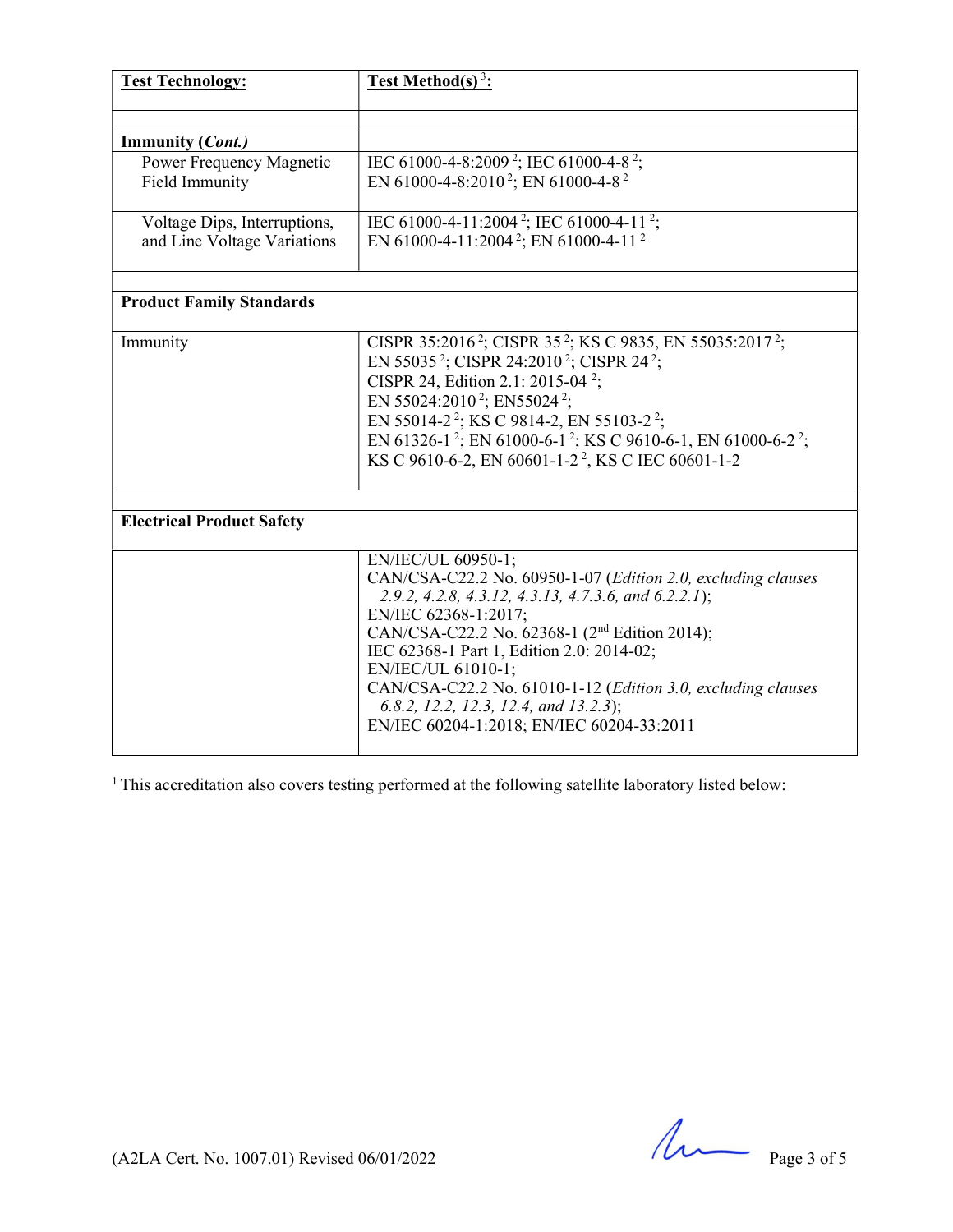| <b>Test Technology:</b>          | <b>Test Method(s)</b> <sup>3</sup> :                                                             |  |  |
|----------------------------------|--------------------------------------------------------------------------------------------------|--|--|
|                                  |                                                                                                  |  |  |
| <b>Immunity (Cont.)</b>          |                                                                                                  |  |  |
| Power Frequency Magnetic         | IEC 61000-4-8:2009 <sup>2</sup> ; IEC 61000-4-8 <sup>2</sup> ;                                   |  |  |
| Field Immunity                   | EN 61000-4-8:2010 <sup>2</sup> ; EN 61000-4-8 <sup>2</sup>                                       |  |  |
| Voltage Dips, Interruptions,     | IEC 61000-4-11:2004 <sup>2</sup> ; IEC 61000-4-11 <sup>2</sup> ;                                 |  |  |
| and Line Voltage Variations      | EN 61000-4-11:2004 <sup>2</sup> ; EN 61000-4-11 <sup>2</sup>                                     |  |  |
|                                  |                                                                                                  |  |  |
| <b>Product Family Standards</b>  |                                                                                                  |  |  |
| Immunity                         | CISPR 35:2016 <sup>2</sup> ; CISPR 35 <sup>2</sup> ; KS C 9835, EN 55035:2017 <sup>2</sup> ;     |  |  |
|                                  | EN 55035 <sup>2</sup> ; CISPR 24:2010 <sup>2</sup> ; CISPR 24 <sup>2</sup> ;                     |  |  |
|                                  | CISPR 24, Edition 2.1: 2015-04 <sup>2</sup> ;                                                    |  |  |
|                                  | EN 55024:2010 <sup>2</sup> ; EN55024 <sup>2</sup> ;                                              |  |  |
|                                  | EN 55014-2 <sup>2</sup> ; KS C 9814-2, EN 55103-2 <sup>2</sup> ;                                 |  |  |
|                                  | EN 61326-1 <sup>2</sup> ; EN 61000-6-1 <sup>2</sup> ; KS C 9610-6-1, EN 61000-6-2 <sup>2</sup> ; |  |  |
|                                  | KS C 9610-6-2, EN 60601-1-2 <sup>2</sup> , KS C IEC 60601-1-2                                    |  |  |
|                                  |                                                                                                  |  |  |
| <b>Electrical Product Safety</b> |                                                                                                  |  |  |
|                                  | EN/IEC/UL 60950-1;                                                                               |  |  |
|                                  | CAN/CSA-C22.2 No. 60950-1-07 (Edition 2.0, excluding clauses                                     |  |  |
|                                  | 2.9.2, 4.2.8, 4.3.12, 4.3.13, 4.7.3.6, and 6.2.2.1);                                             |  |  |
|                                  | EN/IEC 62368-1:2017;                                                                             |  |  |
|                                  | CAN/CSA-C22.2 No. 62368-1 (2 <sup>nd</sup> Edition 2014);                                        |  |  |
|                                  | IEC 62368-1 Part 1, Edition 2.0: 2014-02;                                                        |  |  |
|                                  | EN/IEC/UL 61010-1;                                                                               |  |  |
|                                  | CAN/CSA-C22.2 No. 61010-1-12 (Edition 3.0, excluding clauses                                     |  |  |
|                                  | 6.8.2, 12.2, 12.3, 12.4, and 13.2.3);                                                            |  |  |
|                                  | EN/IEC 60204-1:2018; EN/IEC 60204-33:2011                                                        |  |  |

<sup>1</sup> This accreditation also covers testing performed at the following satellite laboratory listed below:

(A2LA Cert. No. 1007.01) Revised  $06/01/2022$  Page 3 of 5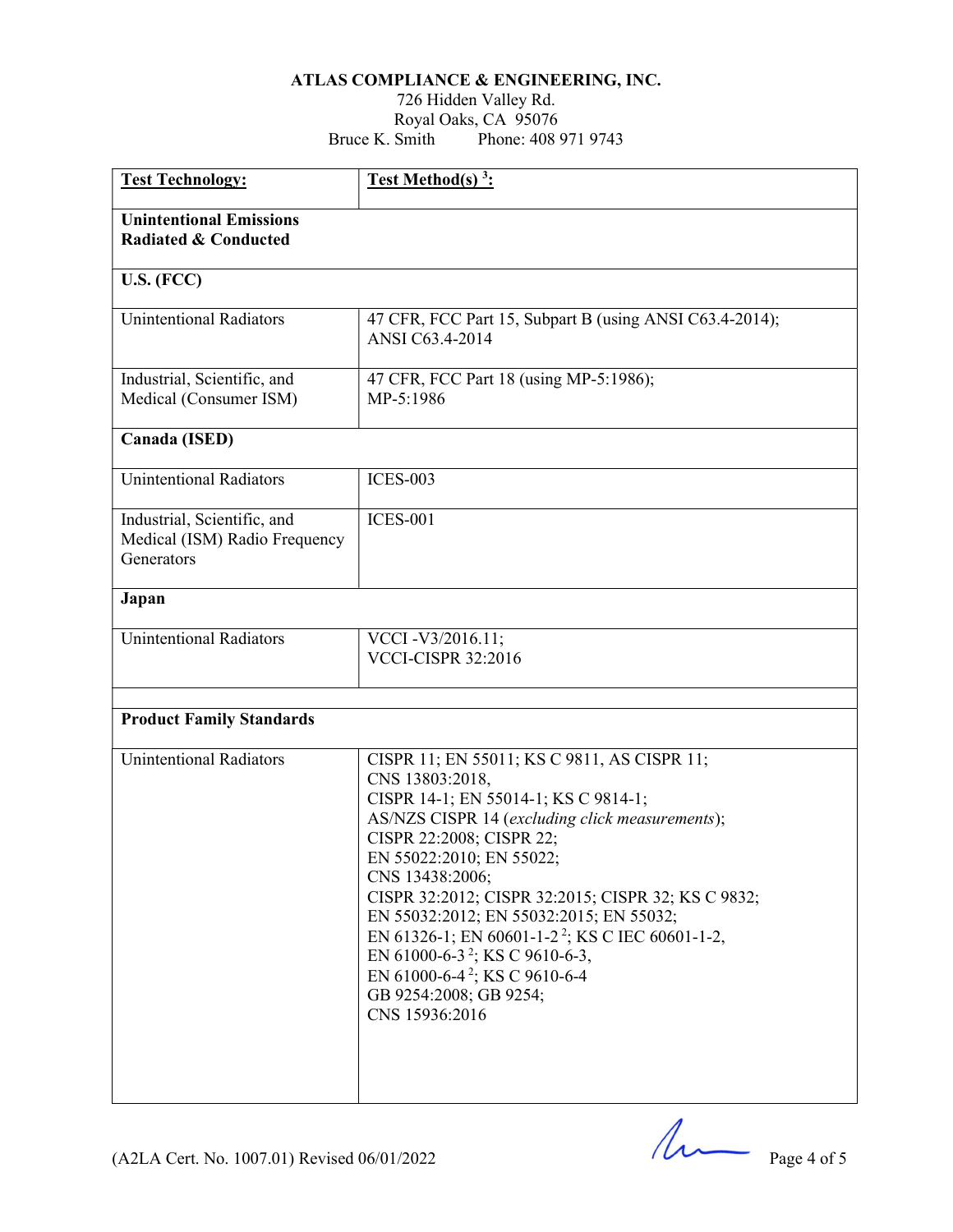#### ATLAS COMPLIANCE & ENGINEERING, INC.

#### 726 Hidden Valley Rd. Royal Oaks, CA 95076 Bruce K. Smith Phone: 408 971 9743

| <b>Test Technology:</b>                                                    | <b>Test Method(s)</b> <sup>3</sup> :                                                                                                                                                                                                                                                                                                                                                                                                                                                                                                        |  |  |  |
|----------------------------------------------------------------------------|---------------------------------------------------------------------------------------------------------------------------------------------------------------------------------------------------------------------------------------------------------------------------------------------------------------------------------------------------------------------------------------------------------------------------------------------------------------------------------------------------------------------------------------------|--|--|--|
| <b>Unintentional Emissions</b><br><b>Radiated &amp; Conducted</b>          |                                                                                                                                                                                                                                                                                                                                                                                                                                                                                                                                             |  |  |  |
| U.S. (FCC)                                                                 |                                                                                                                                                                                                                                                                                                                                                                                                                                                                                                                                             |  |  |  |
| <b>Unintentional Radiators</b>                                             | 47 CFR, FCC Part 15, Subpart B (using ANSI C63.4-2014);<br>ANSI C63.4-2014                                                                                                                                                                                                                                                                                                                                                                                                                                                                  |  |  |  |
| Industrial, Scientific, and<br>Medical (Consumer ISM)                      | 47 CFR, FCC Part 18 (using MP-5:1986);<br>MP-5:1986                                                                                                                                                                                                                                                                                                                                                                                                                                                                                         |  |  |  |
| Canada (ISED)                                                              |                                                                                                                                                                                                                                                                                                                                                                                                                                                                                                                                             |  |  |  |
| <b>Unintentional Radiators</b>                                             | <b>ICES-003</b>                                                                                                                                                                                                                                                                                                                                                                                                                                                                                                                             |  |  |  |
| Industrial, Scientific, and<br>Medical (ISM) Radio Frequency<br>Generators | <b>ICES-001</b>                                                                                                                                                                                                                                                                                                                                                                                                                                                                                                                             |  |  |  |
| Japan                                                                      |                                                                                                                                                                                                                                                                                                                                                                                                                                                                                                                                             |  |  |  |
| <b>Unintentional Radiators</b>                                             | VCCI-V3/2016.11;<br><b>VCCI-CISPR 32:2016</b>                                                                                                                                                                                                                                                                                                                                                                                                                                                                                               |  |  |  |
| <b>Product Family Standards</b>                                            |                                                                                                                                                                                                                                                                                                                                                                                                                                                                                                                                             |  |  |  |
| <b>Unintentional Radiators</b>                                             | CISPR 11; EN 55011; KS C 9811, AS CISPR 11;<br>CNS 13803:2018,<br>CISPR 14-1; EN 55014-1; KS C 9814-1;<br>AS/NZS CISPR 14 (excluding click measurements);<br>CISPR 22:2008; CISPR 22;<br>EN 55022:2010; EN 55022;<br>CNS 13438:2006;<br>CISPR 32:2012; CISPR 32:2015; CISPR 32; KS C 9832;<br>EN 55032:2012; EN 55032:2015; EN 55032;<br>EN 61326-1; EN 60601-1-2 <sup>2</sup> ; KS C IEC 60601-1-2,<br>EN 61000-6-3 <sup>2</sup> ; KS C 9610-6-3,<br>EN 61000-6-4 <sup>2</sup> ; KS C 9610-6-4<br>GB 9254:2008; GB 9254;<br>CNS 15936:2016 |  |  |  |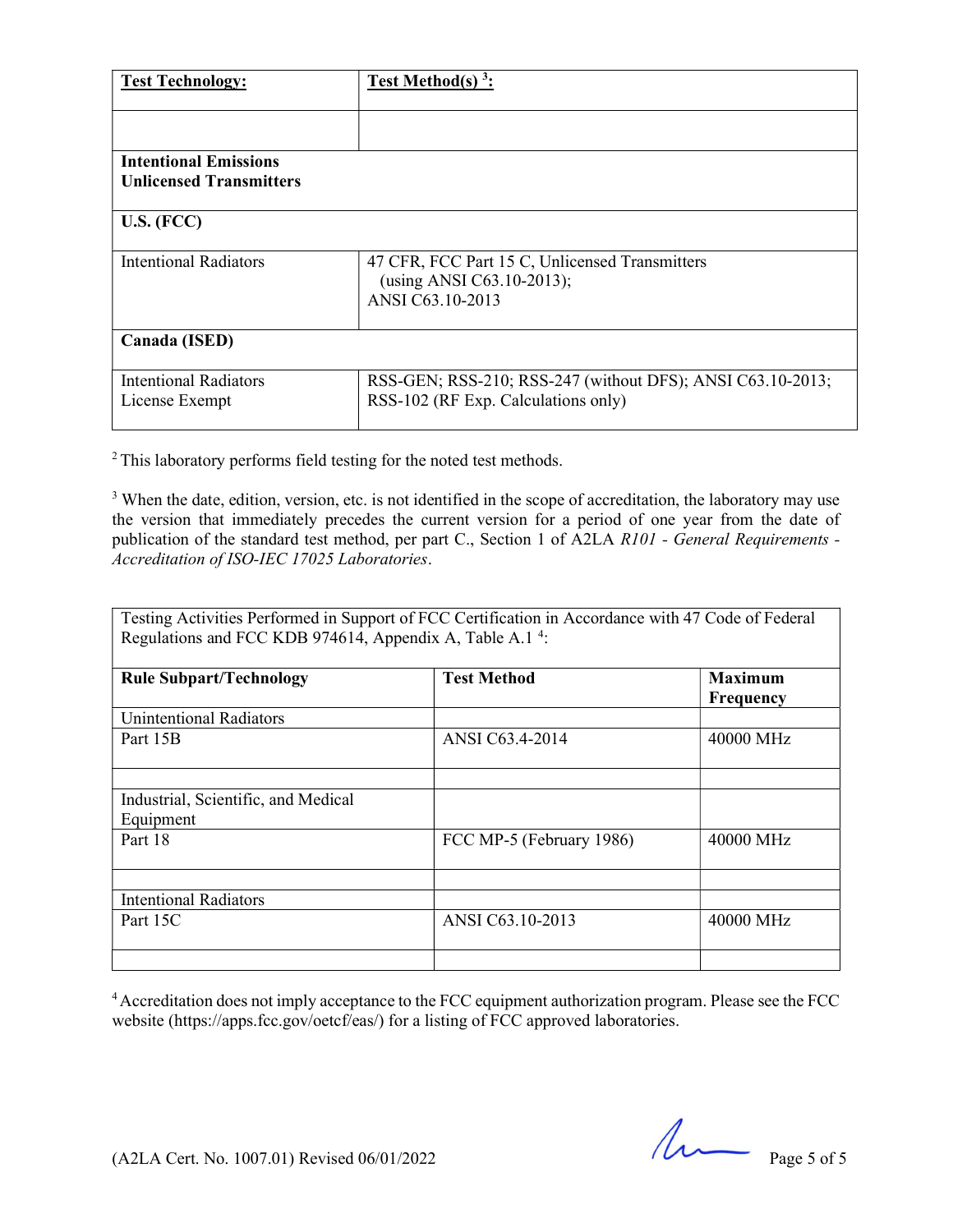| <b>Test Technology:</b>                                        | Test Method(s) $3$ :                                                                              |  |  |
|----------------------------------------------------------------|---------------------------------------------------------------------------------------------------|--|--|
| <b>Intentional Emissions</b><br><b>Unlicensed Transmitters</b> |                                                                                                   |  |  |
| U.S. (FCC)                                                     |                                                                                                   |  |  |
| Intentional Radiators                                          | 47 CFR, FCC Part 15 C, Unlicensed Transmitters<br>(using ANSI C63.10-2013);<br>ANSI C63.10-2013   |  |  |
| Canada (ISED)                                                  |                                                                                                   |  |  |
| <b>Intentional Radiators</b><br>License Exempt                 | RSS-GEN; RSS-210; RSS-247 (without DFS); ANSI C63.10-2013;<br>RSS-102 (RF Exp. Calculations only) |  |  |

<sup>2</sup>This laboratory performs field testing for the noted test methods.

<sup>3</sup> When the date, edition, version, etc. is not identified in the scope of accreditation, the laboratory may use the version that immediately precedes the current version for a period of one year from the date of publication of the standard test method, per part C., Section 1 of A2LA R101 - General Requirements -Accreditation of ISO-IEC 17025 Laboratories.

Testing Activities Performed in Support of FCC Certification in Accordance with 47 Code of Federal Regulations and FCC KDB 974614, Appendix A, Table A.1<sup>4</sup>:

| <b>Rule Subpart/Technology</b>      | <b>Test Method</b>       | <b>Maximum</b><br>Frequency |
|-------------------------------------|--------------------------|-----------------------------|
| <b>Unintentional Radiators</b>      |                          |                             |
| Part 15B                            | ANSI C63.4-2014          | 40000 MHz                   |
|                                     |                          |                             |
| Industrial, Scientific, and Medical |                          |                             |
| Equipment                           |                          |                             |
| Part 18                             | FCC MP-5 (February 1986) | 40000 MHz                   |
|                                     |                          |                             |
| <b>Intentional Radiators</b>        |                          |                             |
| Part 15C                            | ANSI C63.10-2013         | 40000 MHz                   |
|                                     |                          |                             |

<sup>4</sup>Accreditation does not imply acceptance to the FCC equipment authorization program. Please see the FCC website (https://apps.fcc.gov/oetcf/eas/) for a listing of FCC approved laboratories.

(A2LA Cert. No. 1007.01) Revised  $06/01/2022$  Page 5 of 5